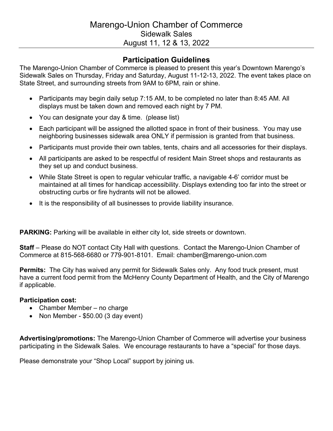## **Participation Guidelines**

The Marengo-Union Chamber of Commerce is pleased to present this year's Downtown Marengo's Sidewalk Sales on Thursday, Friday and Saturday, August 11-12-13, 2022. The event takes place on State Street, and surrounding streets from 9AM to 6PM, rain or shine.

- Participants may begin daily setup 7:15 AM, to be completed no later than 8:45 AM. All displays must be taken down and removed each night by 7 PM.
- You can designate your day & time. (please list)
- Each participant will be assigned the allotted space in front of their business. You may use neighboring businesses sidewalk area ONLY if permission is granted from that business.
- Participants must provide their own tables, tents, chairs and all accessories for their displays.
- All participants are asked to be respectful of resident Main Street shops and restaurants as they set up and conduct business.
- While State Street is open to regular vehicular traffic, a navigable 4-6' corridor must be maintained at all times for handicap accessibility. Displays extending too far into the street or obstructing curbs or fire hydrants will not be allowed.
- It is the responsibility of all businesses to provide liability insurance.

**PARKING:** Parking will be available in either city lot, side streets or downtown.

**Staff** – Please do NOT contact City Hall with questions. Contact the Marengo-Union Chamber of Commerce at 815-568-6680 or 779-901-8101. Email: chamber@marengo-union.com

**Permits:** The City has waived any permit for Sidewalk Sales only. Any food truck present, must have a current food permit from the McHenry County Department of Health, and the City of Marengo if applicable.

## **Participation cost:**

- Chamber Member no charge
- Non Member \$50.00 (3 day event)

**Advertising/promotions:** The Marengo-Union Chamber of Commerce will advertise your business participating in the Sidewalk Sales. We encourage restaurants to have a "special" for those days.

Please demonstrate your "Shop Local" support by joining us.